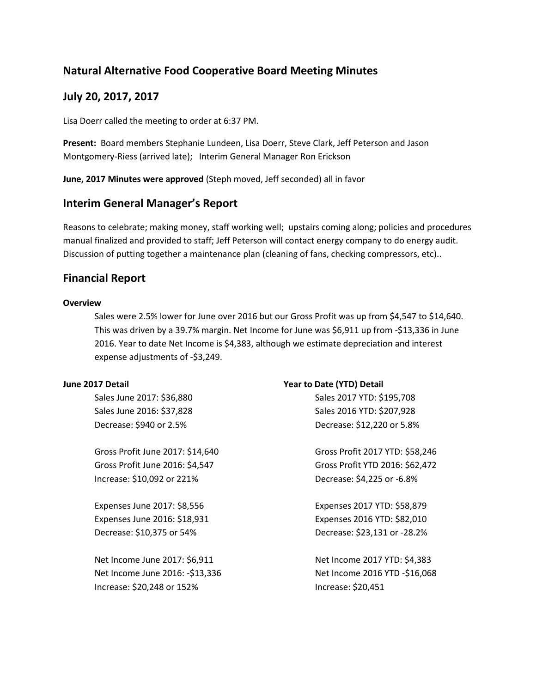# **Natural Alternative Food Cooperative Board Meeting Minutes**

### **July 20, 2017, 2017**

Lisa Doerr called the meeting to order at 6:37 PM.

**Present:** Board members Stephanie Lundeen, Lisa Doerr, Steve Clark, Jeff Peterson and Jason Montgomery-Riess (arrived late); Interim General Manager Ron Erickson

**June, 2017 Minutes were approved** (Steph moved, Jeff seconded) all in favor

### **Interim General Manager's Report**

Reasons to celebrate; making money, staff working well; upstairs coming along; policies and procedures manual finalized and provided to staff; Jeff Peterson will contact energy company to do energy audit. Discussion of putting together a maintenance plan (cleaning of fans, checking compressors, etc)..

## **Financial Report**

#### **Overview**

Sales were 2.5% lower for June over 2016 but our Gross Profit was up from \$4,547 to \$14,640. This was driven by a 39.7% margin. Net Income for June was \$6,911 up from -\$13,336 in June 2016. Year to date Net Income is \$4,383, although we estimate depreciation and interest expense adjustments of -\$3,249.

#### **June 2017 Detail**

Sales June 2017: \$36,880 Sales June 2016: \$37,828 Decrease: \$940 or 2.5%

Gross Profit June 2017: \$14,640 Gross Profit June 2016: \$4,547 Increase: \$10,092 or 221%

Expenses June 2017: \$8,556 Expenses June 2016: \$18,931 Decrease: \$10,375 or 54%

Net Income June 2017: \$6,911 Net Income June 2016: -\$13,336 Increase: \$20,248 or 152%

#### **Year to Date (YTD) Detail**

Sales 2017 YTD: \$195,708 Sales 2016 YTD: \$207,928 Decrease: \$12,220 or 5.8%

Gross Profit 2017 YTD: \$58,246 Gross Profit YTD 2016: \$62,472 Decrease: \$4,225 or -6.8%

Expenses 2017 YTD: \$58,879 Expenses 2016 YTD: \$82,010 Decrease: \$23,131 or -28.2%

Net Income 2017 YTD: \$4,383 Net Income 2016 YTD -\$16,068 Increase: \$20,451